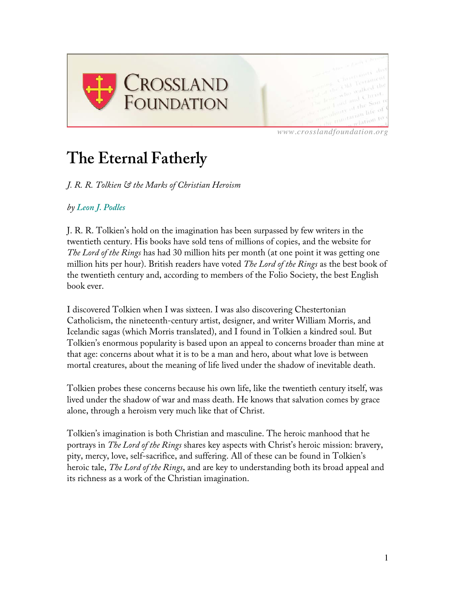

*www.crosslandfoundation.org*

# **The Eternal Fatherly**

*J. R. R. Tolkien & the Marks of Christian Heroism*

# *by Leon J. Podles*

J. R. R. Tolkien's hold on the imagination has been surpassed by few writers in the twentieth century. His books have sold tens of millions of copies, and the website for *The Lord of the Rings* has had 30 million hits per month (at one point it was getting one million hits per hour). British readers have voted *The Lord of the Rings* as the best book of the twentieth century and, according to members of the Folio Society, the best English book ever.

I discovered Tolkien when I was sixteen. I was also discovering Chestertonian Catholicism, the nineteenth-century artist, designer, and writer William Morris, and Icelandic sagas (which Morris translated), and I found in Tolkien a kindred soul. But Tolkien's enormous popularity is based upon an appeal to concerns broader than mine at that age: concerns about what it is to be a man and hero, about what love is between mortal creatures, about the meaning of life lived under the shadow of inevitable death.

Tolkien probes these concerns because his own life, like the twentieth century itself, was lived under the shadow of war and mass death. He knows that salvation comes by grace alone, through a heroism very much like that of Christ.

Tolkien's imagination is both Christian and masculine. The heroic manhood that he portrays in *The Lord of the Rings* shares key aspects with Christ's heroic mission: bravery, pity, mercy, love, self-sacrifice, and suffering. All of these can be found in Tolkien's heroic tale, *The Lord of the Rings*, and are key to understanding both its broad appeal and its richness as a work of the Christian imagination.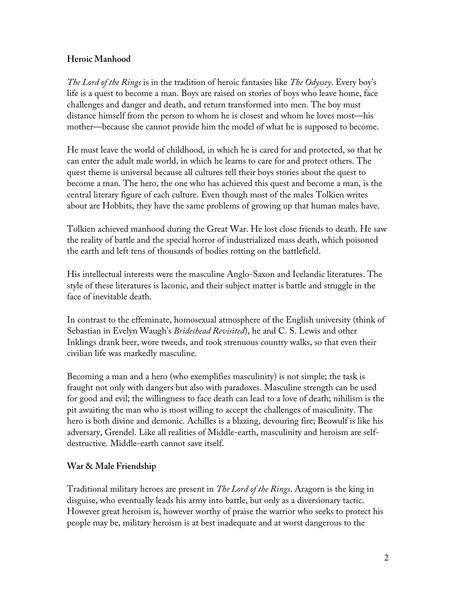### **Heroic Manhood**

*The Lord of the Rings* is in the tradition of heroic fantasies like *The Odyssey*. Every boy's life is a quest to become a man. Boys are raised on stories of boys who leave home, face challenges and danger and death, and return transformed into men. The boy must distance himself from the person to whom he is closest and whom he loves most—his mother—because she cannot provide him the model of what he is supposed to become.

He must leave the world of childhood, in which he is cared for and protected, so that he can enter the adult male world, in which he learns to care for and protect others. The quest theme is universal because all cultures tell their boys stories about the quest to become a man. The hero, the one who has achieved this quest and become a man, is the central literary figure of each culture. Even though most of the males Tolkien writes about are Hobbits, they have the same problems of growing up that human males have.

Tolkien achieved manhood during the Great War. He lost close friends to death. He saw the reality of battle and the special horror of industrialized mass death, which poisoned the earth and left tens of thousands of bodies rotting on the battlefield.

His intellectual interests were the masculine Anglo-Saxon and Icelandic literatures. The style of these literatures is laconic, and their subject matter is battle and struggle in the face of inevitable death.

In contrast to the effeminate, homosexual atmosphere of the English university (think of Sebastian in Evelyn Waugh's *Brideshead Revisited*), he and C. S. Lewis and other Inklings drank beer, wore tweeds, and took strenuous country walks, so that even their civilian life was markedly masculine.

Becoming a man and a hero (who exemplifies masculinity) is not simple; the task is fraught not only with dangers but also with paradoxes. Masculine strength can be used for good and evil; the willingness to face death can lead to a love of death; nihilism is the pit awaiting the man who is most willing to accept the challenges of masculinity. The hero is both divine and demonic. Achilles is a blazing, devouring fire; Beowulf is like his adversary, Grendel. Like all realities of Middle-earth, masculinity and heroism are selfdestructive. Middle-earth cannot save itself.

### **War & Male Friendship**

Traditional military heroes are present in *The Lord of the Rings*. Aragorn is the king in disguise, who eventually leads his army into battle, but only as a diversionary tactic. However great heroism is, however worthy of praise the warrior who seeks to protect his people may be, military heroism is at best inadequate and at worst dangerous to the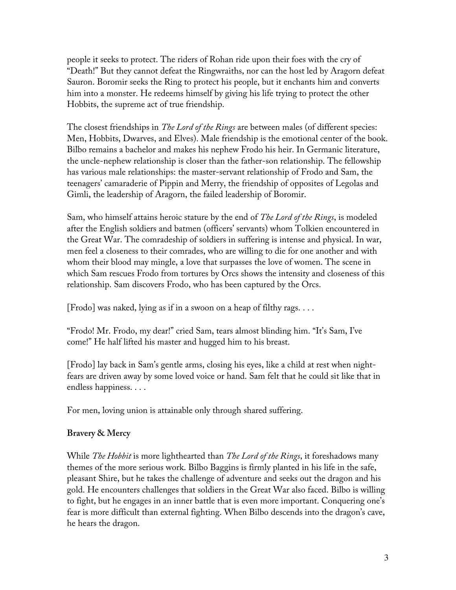people it seeks to protect. The riders of Rohan ride upon their foes with the cry of "Death!" But they cannot defeat the Ringwraiths, nor can the host led by Aragorn defeat Sauron. Boromir seeks the Ring to protect his people, but it enchants him and converts him into a monster. He redeems himself by giving his life trying to protect the other Hobbits, the supreme act of true friendship.

The closest friendships in *The Lord of the Rings* are between males (of different species: Men, Hobbits, Dwarves, and Elves). Male friendship is the emotional center of the book. Bilbo remains a bachelor and makes his nephew Frodo his heir. In Germanic literature, the uncle-nephew relationship is closer than the father-son relationship. The fellowship has various male relationships: the master-servant relationship of Frodo and Sam, the teenagers' camaraderie of Pippin and Merry, the friendship of opposites of Legolas and Gimli, the leadership of Aragorn, the failed leadership of Boromir.

Sam, who himself attains heroic stature by the end of *The Lord of the Rings*, is modeled after the English soldiers and batmen (officers' servants) whom Tolkien encountered in the Great War. The comradeship of soldiers in suffering is intense and physical. In war, men feel a closeness to their comrades, who are willing to die for one another and with whom their blood may mingle, a love that surpasses the love of women. The scene in which Sam rescues Frodo from tortures by Orcs shows the intensity and closeness of this relationship. Sam discovers Frodo, who has been captured by the Orcs.

[Frodo] was naked, lying as if in a swoon on a heap of filthy rags. . . .

"Frodo! Mr. Frodo, my dear!" cried Sam, tears almost blinding him. "It's Sam, I've come!" He half lifted his master and hugged him to his breast.

[Frodo] lay back in Sam's gentle arms, closing his eyes, like a child at rest when nightfears are driven away by some loved voice or hand. Sam felt that he could sit like that in endless happiness. . . .

For men, loving union is attainable only through shared suffering.

#### **Bravery & Mercy**

While *The Hobbit* is more lighthearted than *The Lord of the Rings*, it foreshadows many themes of the more serious work. Bilbo Baggins is firmly planted in his life in the safe, pleasant Shire, but he takes the challenge of adventure and seeks out the dragon and his gold. He encounters challenges that soldiers in the Great War also faced. Bilbo is willing to fight, but he engages in an inner battle that is even more important. Conquering one's fear is more difficult than external fighting. When Bilbo descends into the dragon's cave, he hears the dragon.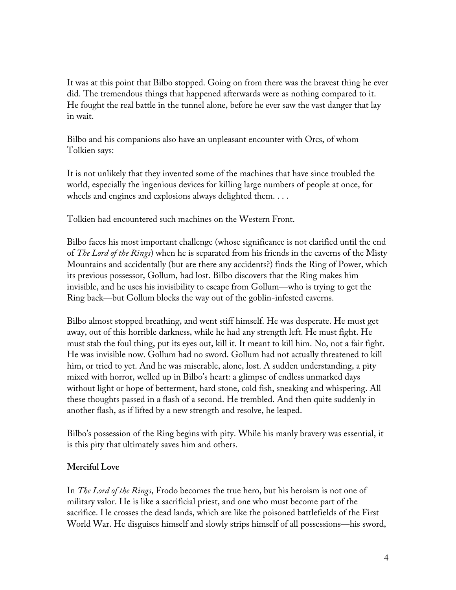It was at this point that Bilbo stopped. Going on from there was the bravest thing he ever did. The tremendous things that happened afterwards were as nothing compared to it. He fought the real battle in the tunnel alone, before he ever saw the vast danger that lay in wait.

Bilbo and his companions also have an unpleasant encounter with Orcs, of whom Tolkien says:

It is not unlikely that they invented some of the machines that have since troubled the world, especially the ingenious devices for killing large numbers of people at once, for wheels and engines and explosions always delighted them. . . .

Tolkien had encountered such machines on the Western Front.

Bilbo faces his most important challenge (whose significance is not clarified until the end of *The Lord of the Rings*) when he is separated from his friends in the caverns of the Misty Mountains and accidentally (but are there any accidents?) finds the Ring of Power, which its previous possessor, Gollum, had lost. Bilbo discovers that the Ring makes him invisible, and he uses his invisibility to escape from Gollum—who is trying to get the Ring back—but Gollum blocks the way out of the goblin-infested caverns.

Bilbo almost stopped breathing, and went stiff himself. He was desperate. He must get away, out of this horrible darkness, while he had any strength left. He must fight. He must stab the foul thing, put its eyes out, kill it. It meant to kill him. No, not a fair fight. He was invisible now. Gollum had no sword. Gollum had not actually threatened to kill him, or tried to yet. And he was miserable, alone, lost. A sudden understanding, a pity mixed with horror, welled up in Bilbo's heart: a glimpse of endless unmarked days without light or hope of betterment, hard stone, cold fish, sneaking and whispering. All these thoughts passed in a flash of a second. He trembled. And then quite suddenly in another flash, as if lifted by a new strength and resolve, he leaped.

Bilbo's possession of the Ring begins with pity. While his manly bravery was essential, it is this pity that ultimately saves him and others.

### **Merciful Love**

In *The Lord of the Rings*, Frodo becomes the true hero, but his heroism is not one of military valor. He is like a sacrificial priest, and one who must become part of the sacrifice. He crosses the dead lands, which are like the poisoned battlefields of the First World War. He disguises himself and slowly strips himself of all possessions—his sword,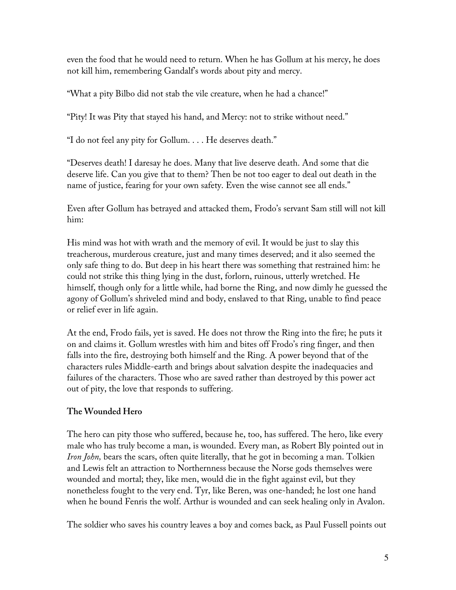even the food that he would need to return. When he has Gollum at his mercy, he does not kill him, remembering Gandalf's words about pity and mercy.

"What a pity Bilbo did not stab the vile creature, when he had a chance!"

"Pity! It was Pity that stayed his hand, and Mercy: not to strike without need."

"I do not feel any pity for Gollum. . . . He deserves death."

"Deserves death! I daresay he does. Many that live deserve death. And some that die deserve life. Can you give that to them? Then be not too eager to deal out death in the name of justice, fearing for your own safety. Even the wise cannot see all ends."

Even after Gollum has betrayed and attacked them, Frodo's servant Sam still will not kill him:

His mind was hot with wrath and the memory of evil. It would be just to slay this treacherous, murderous creature, just and many times deserved; and it also seemed the only safe thing to do. But deep in his heart there was something that restrained him: he could not strike this thing lying in the dust, forlorn, ruinous, utterly wretched. He himself, though only for a little while, had borne the Ring, and now dimly he guessed the agony of Gollum's shriveled mind and body, enslaved to that Ring, unable to find peace or relief ever in life again.

At the end, Frodo fails, yet is saved. He does not throw the Ring into the fire; he puts it on and claims it. Gollum wrestles with him and bites off Frodo's ring finger, and then falls into the fire, destroying both himself and the Ring. A power beyond that of the characters rules Middle-earth and brings about salvation despite the inadequacies and failures of the characters. Those who are saved rather than destroyed by this power act out of pity, the love that responds to suffering.

### **The Wounded Hero**

The hero can pity those who suffered, because he, too, has suffered. The hero, like every male who has truly become a man, is wounded. Every man, as Robert Bly pointed out in *Iron John,* bears the scars, often quite literally, that he got in becoming a man. Tolkien and Lewis felt an attraction to Northernness because the Norse gods themselves were wounded and mortal; they, like men, would die in the fight against evil, but they nonetheless fought to the very end. Tyr, like Beren, was one-handed; he lost one hand when he bound Fenris the wolf. Arthur is wounded and can seek healing only in Avalon.

The soldier who saves his country leaves a boy and comes back, as Paul Fussell points out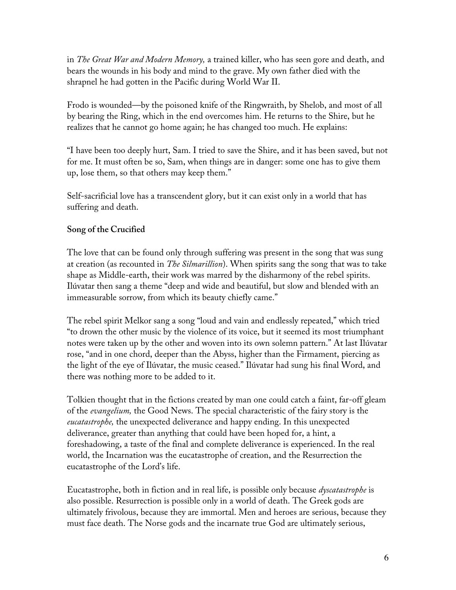in *The Great War and Modern Memory,* a trained killer, who has seen gore and death, and bears the wounds in his body and mind to the grave. My own father died with the shrapnel he had gotten in the Pacific during World War II.

Frodo is wounded—by the poisoned knife of the Ringwraith, by Shelob, and most of all by bearing the Ring, which in the end overcomes him. He returns to the Shire, but he realizes that he cannot go home again; he has changed too much. He explains:

"I have been too deeply hurt, Sam. I tried to save the Shire, and it has been saved, but not for me. It must often be so, Sam, when things are in danger: some one has to give them up, lose them, so that others may keep them."

Self-sacrificial love has a transcendent glory, but it can exist only in a world that has suffering and death.

# **Song of the Crucified**

The love that can be found only through suffering was present in the song that was sung at creation (as recounted in *The Silmarillion*). When spirits sang the song that was to take shape as Middle-earth, their work was marred by the disharmony of the rebel spirits. Ilúvatar then sang a theme "deep and wide and beautiful, but slow and blended with an immeasurable sorrow, from which its beauty chiefly came."

The rebel spirit Melkor sang a song "loud and vain and endlessly repeated," which tried "to drown the other music by the violence of its voice, but it seemed its most triumphant notes were taken up by the other and woven into its own solemn pattern." At last Ilúvatar rose, "and in one chord, deeper than the Abyss, higher than the Firmament, piercing as the light of the eye of Ilúvatar, the music ceased." Ilúvatar had sung his final Word, and there was nothing more to be added to it.

Tolkien thought that in the fictions created by man one could catch a faint, far-off gleam of the *evangelium,* the Good News. The special characteristic of the fairy story is the *eucatastrophe,* the unexpected deliverance and happy ending. In this unexpected deliverance, greater than anything that could have been hoped for, a hint, a foreshadowing, a taste of the final and complete deliverance is experienced. In the real world, the Incarnation was the eucatastrophe of creation, and the Resurrection the eucatastrophe of the Lord's life.

Eucatastrophe, both in fiction and in real life, is possible only because *dyscatastrophe* is also possible. Resurrection is possible only in a world of death. The Greek gods are ultimately frivolous, because they are immortal. Men and heroes are serious, because they must face death. The Norse gods and the incarnate true God are ultimately serious,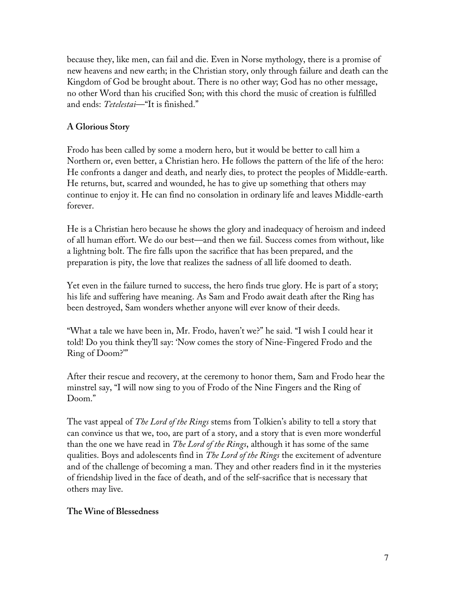because they, like men, can fail and die. Even in Norse mythology, there is a promise of new heavens and new earth; in the Christian story, only through failure and death can the Kingdom of God be brought about. There is no other way; God has no other message, no other Word than his crucified Son; with this chord the music of creation is fulfilled and ends: *Tetelestai*—"It is finished."

# **A Glorious Story**

Frodo has been called by some a modern hero, but it would be better to call him a Northern or, even better, a Christian hero. He follows the pattern of the life of the hero: He confronts a danger and death, and nearly dies, to protect the peoples of Middle-earth. He returns, but, scarred and wounded, he has to give up something that others may continue to enjoy it. He can find no consolation in ordinary life and leaves Middle-earth forever.

He is a Christian hero because he shows the glory and inadequacy of heroism and indeed of all human effort. We do our best—and then we fail. Success comes from without, like a lightning bolt. The fire falls upon the sacrifice that has been prepared, and the preparation is pity, the love that realizes the sadness of all life doomed to death.

Yet even in the failure turned to success, the hero finds true glory. He is part of a story; his life and suffering have meaning. As Sam and Frodo await death after the Ring has been destroyed, Sam wonders whether anyone will ever know of their deeds.

"What a tale we have been in, Mr. Frodo, haven't we?" he said. "I wish I could hear it told! Do you think they'll say: 'Now comes the story of Nine-Fingered Frodo and the Ring of Doom?'"

After their rescue and recovery, at the ceremony to honor them, Sam and Frodo hear the minstrel say, "I will now sing to you of Frodo of the Nine Fingers and the Ring of Doom."

The vast appeal of *The Lord of the Rings* stems from Tolkien's ability to tell a story that can convince us that we, too, are part of a story, and a story that is even more wonderful than the one we have read in *The Lord of the Rings*, although it has some of the same qualities. Boys and adolescents find in *The Lord of the Rings* the excitement of adventure and of the challenge of becoming a man. They and other readers find in it the mysteries of friendship lived in the face of death, and of the self-sacrifice that is necessary that others may live.

### **The Wine of Blessedness**